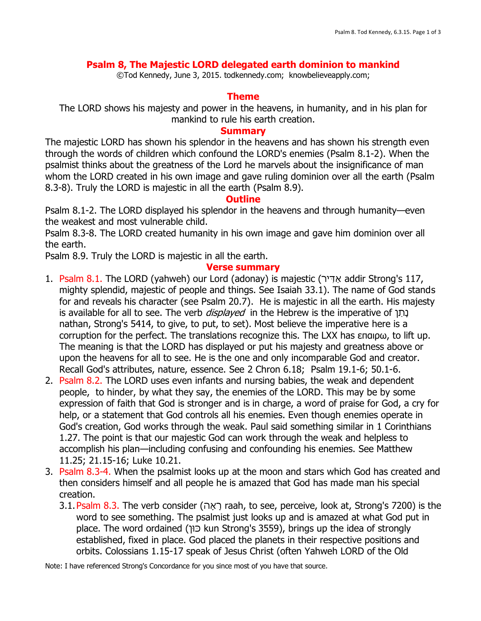# **Psalm 8, The Majestic LORD delegated earth dominion to mankind**

©Tod Kennedy, June 3, 2015. todkennedy.com; knowbelieveapply.com;

### **Theme**

The LORD shows his majesty and power in the heavens, in humanity, and in his plan for mankind to rule his earth creation.

#### **Summary**

The majestic LORD has shown his splendor in the heavens and has shown his strength even through the words of children which confound the LORD's enemies (Psalm 8.1-2). When the psalmist thinks about the greatness of the Lord he marvels about the insignificance of man whom the LORD created in his own image and gave ruling dominion over all the earth (Psalm 8.3-8). Truly the LORD is majestic in all the earth (Psalm 8.9).

#### **Outline**

Psalm 8.1-2. The LORD displayed his splendor in the heavens and through humanity—even the weakest and most vulnerable child.

Psalm 8.3-8. The LORD created humanity in his own image and gave him dominion over all the earth.

Psalm 8.9. Truly the LORD is majestic in all the earth.

### **Verse summary**

- 1. Psalm 8.1. The LORD (yahweh) our Lord (adonay) is majestic ( ירִּדַא addir Strong's 117, mighty splendid, majestic of people and things. See Isaiah 33.1). The name of God stands for and reveals his character (see Psalm 20.7). He is majestic in all the earth. His majesty is available for all to see. The verb *displayed* in the Hebrew is the imperative of נתן nathan, Strong's 5414, to give, to put, to set). Most believe the imperative here is a corruption for the perfect. The translations recognize this. The LXX has επαιρω, to lift up. The meaning is that the LORD has displayed or put his majesty and greatness above or upon the heavens for all to see. He is the one and only incomparable God and creator. Recall God's attributes, nature, essence. See 2 Chron 6.18; Psalm 19.1-6; 50.1-6.
- 2. Psalm 8.2. The LORD uses even infants and nursing babies, the weak and dependent people, to hinder, by what they say, the enemies of the LORD. This may be by some expression of faith that God is stronger and is in charge, a word of praise for God, a cry for help, or a statement that God controls all his enemies. Even though enemies operate in God's creation, God works through the weak. Paul said something similar in 1 Corinthians 1.27. The point is that our majestic God can work through the weak and helpless to accomplish his plan—including confusing and confounding his enemies. See Matthew 11.25; 21.15-16; Luke 10.21.
- 3. Psalm 8.3-4. When the psalmist looks up at the moon and stars which God has created and then considers himself and all people he is amazed that God has made man his special creation.
	- 3.1.Psalm 8.3. The verb consider (הָאָר raah, to see, perceive, look at, Strong's 7200) is the word to see something. The psalmist just looks up and is amazed at what God put in place. The word ordained (כוּך kun Strong's 3559), brings up the idea of strongly established, fixed in place. God placed the planets in their respective positions and orbits. Colossians 1.15-17 speak of Jesus Christ (often Yahweh LORD of the Old

Note: I have referenced Strong's Concordance for you since most of you have that source.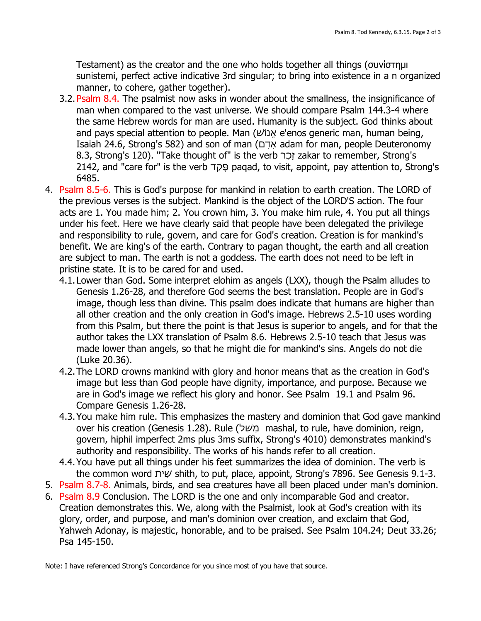Testament) as the creator and the one who holds together all things (συνίστημι sunistemi, perfect active indicative 3rd singular; to bring into existence in a n organized manner, to cohere, gather together).

- 3.2. Psalm 8.4. The psalmist now asks in wonder about the smallness, the insignificance of man when compared to the vast universe. We should compare Psalm 144.3-4 where the same Hebrew words for man are used. Humanity is the subject. God thinks about and pays special attention to people. Man (שׁוֹנֱא e'enos generic man, human being, Isaiah 24.6, Strong's 582) and son of man (םָדָא adam for man, people Deuteronomy 8.3, Strong's 120). "Take thought of" is the verb רַכָ ז zakar to remember, Strong's 2142, and "care for" is the verb דַקָפ paqad, to visit, appoint, pay attention to, Strong's 6485.
- 4. Psalm 8.5-6. This is God's purpose for mankind in relation to earth creation. The LORD of the previous verses is the subject. Mankind is the object of the LORD'S action. The four acts are 1. You made him; 2. You crown him, 3. You make him rule, 4. You put all things under his feet. Here we have clearly said that people have been delegated the privilege and responsibility to rule, govern, and care for God's creation. Creation is for mankind's benefit. We are king's of the earth. Contrary to pagan thought, the earth and all creation are subject to man. The earth is not a goddess. The earth does not need to be left in pristine state. It is to be cared for and used.
	- 4.1.Lower than God. Some interpret elohim as angels (LXX), though the Psalm alludes to Genesis 1.26-28, and therefore God seems the best translation. People are in God's image, though less than divine. This psalm does indicate that humans are higher than all other creation and the only creation in God's image. Hebrews 2.5-10 uses wording from this Psalm, but there the point is that Jesus is superior to angels, and for that the author takes the LXX translation of Psalm 8.6. Hebrews 2.5-10 teach that Jesus was made lower than angels, so that he might die for mankind's sins. Angels do not die (Luke 20.36).
	- 4.2.The LORD crowns mankind with glory and honor means that as the creation in God's image but less than God people have dignity, importance, and purpose. Because we are in God's image we reflect his glory and honor. See Psalm 19.1 and Psalm 96. Compare Genesis 1.26-28.
	- 4.3.You make him rule. This emphasizes the mastery and dominion that God gave mankind over his creation (Genesis 1.28). Rule (לַשָׁמ mashal, to rule, have dominion, reign, govern, hiphil imperfect 2ms plus 3ms suffix, Strong's 4010) demonstrates mankind's authority and responsibility. The works of his hands refer to all creation.
	- 4.4.You have put all things under his feet summarizes the idea of dominion. The verb is the common word יתִּשׁ shith, to put, place, appoint, Strong's 7896. See Genesis 9.1-3.
- 5. Psalm 8.7-8. Animals, birds, and sea creatures have all been placed under man's dominion.
- 6. Psalm 8.9 Conclusion. The LORD is the one and only incomparable God and creator. Creation demonstrates this. We, along with the Psalmist, look at God's creation with its glory, order, and purpose, and man's dominion over creation, and exclaim that God, Yahweh Adonay, is majestic, honorable, and to be praised. See Psalm 104.24; Deut 33.26; Psa 145-150.